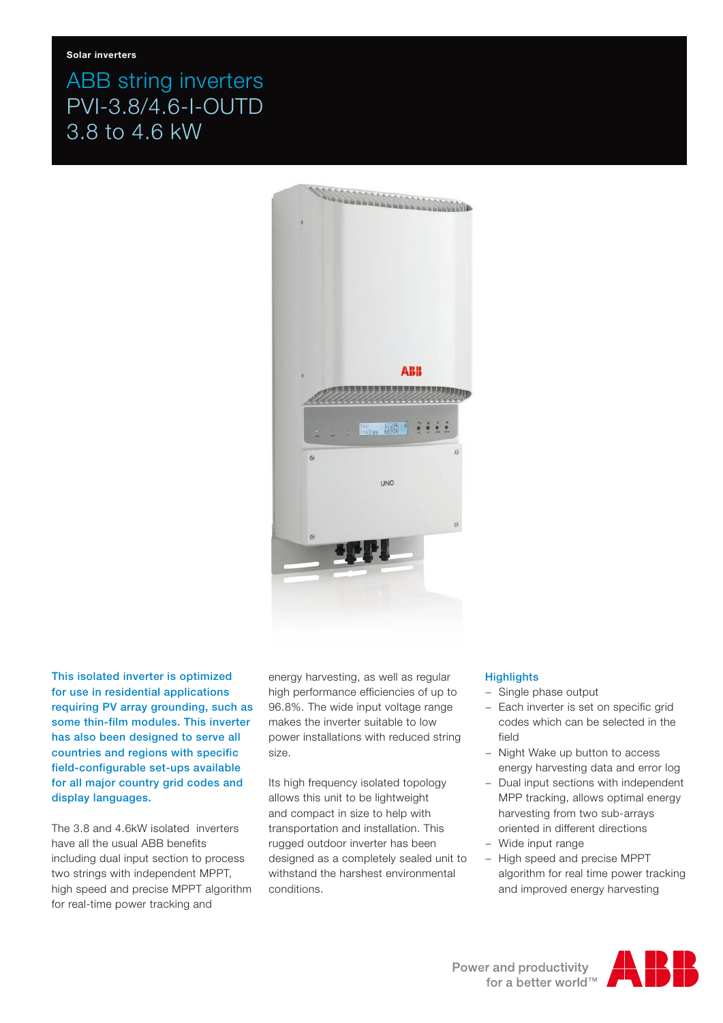# ABB string inverters PVI-3.8/4.6-I-OUTD 3.8 to 4.6 kW



This isolated inverter is optimized for use in residential applications requiring PV array grounding, such as some thin-film modules. This inverter has also been designed to serve all countries and regions with specific field-configurable set-ups available for all major country grid codes and display languages.

The 3.8 and 4.6kW isolated inverters have all the usual ABB benefits including dual input section to process two strings with independent MPPT, high speed and precise MPPT algorithm for real-time power tracking and

energy harvesting, as well as regular high performance efficiencies of up to 96.8%. The wide input voltage range makes the inverter suitable to low power installations with reduced string size.

Its high frequency isolated topology allows this unit to be lightweight and compact in size to help with transportation and installation. This rugged outdoor inverter has been designed as a completely sealed unit to withstand the harshest environmental conditions.

#### **Highlights**

- − Single phase output
- − Each inverter is set on specific grid codes which can be selected in the field
- − Night Wake up button to access energy harvesting data and error log
- − Dual input sections with independent MPP tracking, allows optimal energy harvesting from two sub-arrays oriented in different directions
- − Wide input range
- − High speed and precise MPPT algorithm for real time power tracking and improved energy harvesting

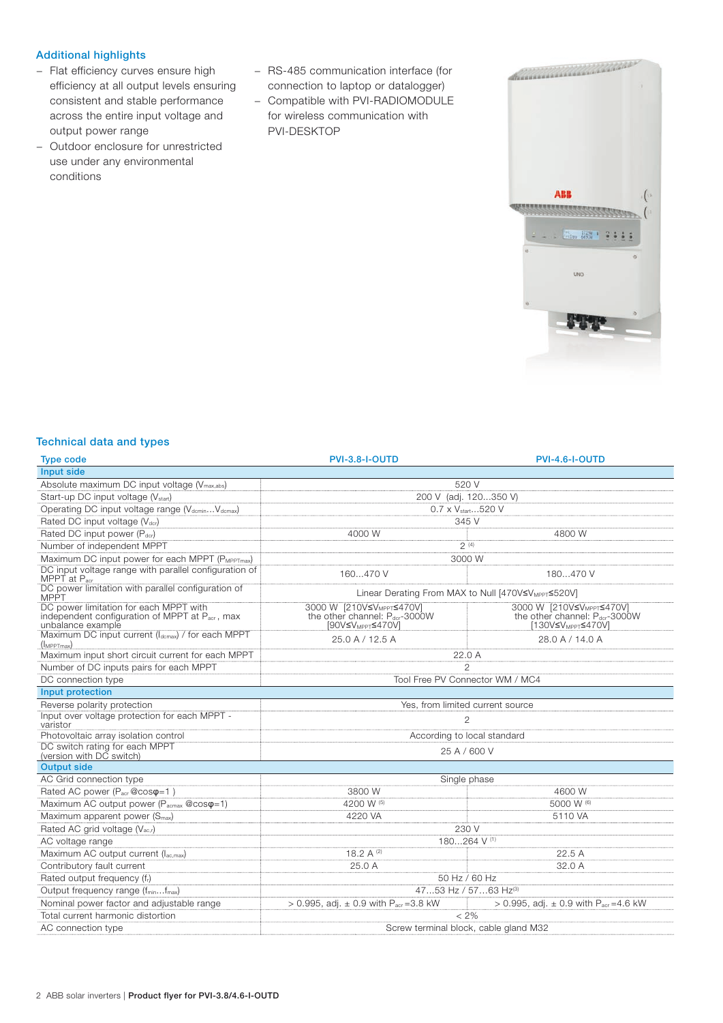### Additional highlights

- − Flat efficiency curves ensure high efficiency at all output levels ensuring consistent and stable performance across the entire input voltage and output power range
- − Outdoor enclosure for unrestricted use under any environmental conditions
- − RS-485 communication interface (for connection to laptop or datalogger)
- − Compatible with PVI-RADIOMODULE for wireless communication with PVI-DESKTOP



#### Technical data and types

| <b>Type code</b>                                                                                              | <b>PVI-3.8-I-OUTD</b>                                                                                                | PVI-4.6-I-OUTD                                                                                           |
|---------------------------------------------------------------------------------------------------------------|----------------------------------------------------------------------------------------------------------------------|----------------------------------------------------------------------------------------------------------|
| Input side                                                                                                    |                                                                                                                      |                                                                                                          |
| Absolute maximum DC input voltage (V <sub>max,abs</sub> )                                                     | 520 V                                                                                                                |                                                                                                          |
| Start-up DC input voltage (V <sub>start</sub> )                                                               | 200 V (adj. 120350 V)                                                                                                |                                                                                                          |
| Operating DC input voltage range (V <sub>dcmin</sub> V <sub>dcmax</sub> )                                     | 0.7 x V <sub>start.</sub> 520 V                                                                                      |                                                                                                          |
| Rated DC input voltage (V <sub>dcr</sub> )                                                                    | 345 V                                                                                                                |                                                                                                          |
| Rated DC input power (Pdcr)                                                                                   | 4000 W                                                                                                               | 4800 W                                                                                                   |
| Number of independent MPPT                                                                                    | 2(4)                                                                                                                 |                                                                                                          |
| Maximum DC input power for each MPPT (PMPPTmax)                                                               | 3000 W                                                                                                               |                                                                                                          |
| DC input voltage range with parallel configuration of<br>MPPT at $P_{\text{acr}}$                             | 160470 V                                                                                                             | 180470 V                                                                                                 |
| DC power limitation with parallel configuration of<br><b>MPPT</b>                                             | Linear Derating From MAX to Null [470V≤V <sub>MPPT</sub> ≤520V]                                                      |                                                                                                          |
| DC power limitation for each MPPT with<br>independent configuration of MPPT at Pacr, max<br>unbalance example | 3000 W [210V≤V <sub>MPPT</sub> ≤470V]<br>the other channel: P <sub>der</sub> -3000W<br>[90V≤V <sub>MPPT</sub> ≤470V] | 3000 W [210V≤V <sub>MPPT</sub> ≤470V]<br>the other channel: Pdcr-3000W<br>[130V≤V <sub>MPPT</sub> ≤470V] |
| Maximum DC input current (Idcmax) / for each MPPT<br>$(l_{MPPTmax})$                                          | 25.0 A / 12.5 A                                                                                                      | 28.0 A / 14.0 A                                                                                          |
| Maximum input short circuit current for each MPPT                                                             | 22.0 A                                                                                                               |                                                                                                          |
| Number of DC inputs pairs for each MPPT                                                                       | $\mathfrak{D}$                                                                                                       |                                                                                                          |
| DC connection type                                                                                            | Tool Free PV Connector WM / MC4                                                                                      |                                                                                                          |
| Input protection                                                                                              |                                                                                                                      |                                                                                                          |
| Reverse polarity protection                                                                                   | Yes, from limited current source                                                                                     |                                                                                                          |
| Input over voltage protection for each MPPT -<br>varistor                                                     | $\mathfrak{D}$                                                                                                       |                                                                                                          |
| Photovoltaic array isolation control                                                                          | According to local standard                                                                                          |                                                                                                          |
| DC switch rating for each MPPT<br>(version with DC switch)                                                    | 25 A / 600 V                                                                                                         |                                                                                                          |
| <b>Output side</b>                                                                                            |                                                                                                                      |                                                                                                          |
| AC Grid connection type                                                                                       | Single phase                                                                                                         |                                                                                                          |
| Rated AC power (P <sub>acr</sub> @cos $\varphi$ =1)                                                           | 3800 W                                                                                                               | 4600 W                                                                                                   |
| Maximum AC output power ( $P_{\text{acmax}}$ @cos $\varphi$ =1)                                               | 4200 W (5)                                                                                                           | 5000 W (6)                                                                                               |
| Maximum apparent power (S <sub>max</sub> )                                                                    | 4220 VA                                                                                                              | 5110 VA                                                                                                  |
| Rated AC grid voltage (V <sub>ac,r</sub> )                                                                    | 230 V                                                                                                                |                                                                                                          |
| AC voltage range                                                                                              | 180264 V <sup>(1)</sup>                                                                                              |                                                                                                          |
| Maximum AC output current (Iac.max)                                                                           | 18.2 A (2)                                                                                                           | 22.5 A                                                                                                   |
| Contributory fault current                                                                                    | 25.0 A                                                                                                               | 32.0 A                                                                                                   |
| Rated output frequency (fr)                                                                                   | 50 Hz / 60 Hz                                                                                                        |                                                                                                          |
| Output frequency range (fminfmax)                                                                             | 4753 Hz / 5763 Hz(3)                                                                                                 |                                                                                                          |
| Nominal power factor and adjustable range                                                                     | > 0.995, adj. $\pm$ 0.9 with P <sub>acr</sub> = 3.8 kW                                                               | > 0.995, adj. $\pm$ 0.9 with P <sub>acr</sub> = 4.6 kW                                                   |
| Total current harmonic distortion                                                                             | $< 2\%$                                                                                                              |                                                                                                          |
| AC connection type                                                                                            | Screw terminal block, cable gland M32                                                                                |                                                                                                          |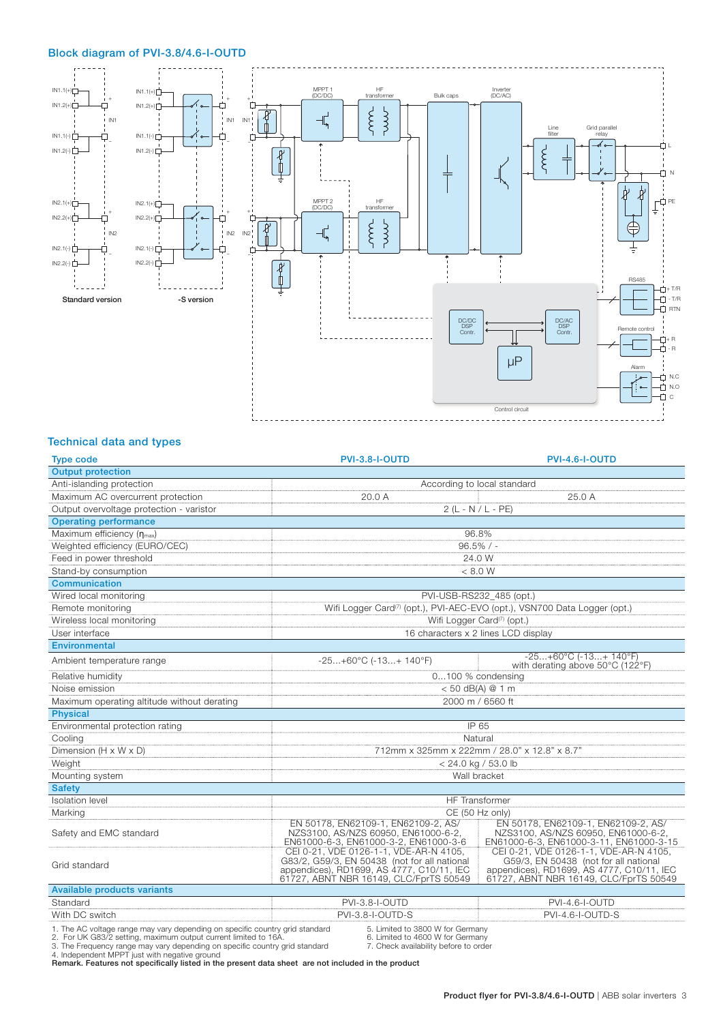## Block diagram of PVI-3.8/4.6-I-OUTD



#### Technical data and types

| <b>Type code</b>                            | <b>PVI-3.8-I-OUTD</b>                                                                                                                                                         | <b>PVI-4.6-I-OUTD</b>                                                                                                                                                  |  |
|---------------------------------------------|-------------------------------------------------------------------------------------------------------------------------------------------------------------------------------|------------------------------------------------------------------------------------------------------------------------------------------------------------------------|--|
| <b>Output protection</b>                    |                                                                                                                                                                               |                                                                                                                                                                        |  |
| Anti-islanding protection                   | According to local standard                                                                                                                                                   |                                                                                                                                                                        |  |
| Maximum AC overcurrent protection           | 20.0 A<br>25.0 A                                                                                                                                                              |                                                                                                                                                                        |  |
| Output overvoltage protection - varistor    | $2(L - N / L - PE)$                                                                                                                                                           |                                                                                                                                                                        |  |
| <b>Operating performance</b>                |                                                                                                                                                                               |                                                                                                                                                                        |  |
| Maximum efficiency $(\eta_{\text{max}})$    | 96.8%                                                                                                                                                                         |                                                                                                                                                                        |  |
| Weighted efficiency (EURO/CEC)              | $96.5\%$ / -                                                                                                                                                                  |                                                                                                                                                                        |  |
| Feed in power threshold                     | 24.0 W                                                                                                                                                                        |                                                                                                                                                                        |  |
| Stand-by consumption                        | < 8.0 W                                                                                                                                                                       |                                                                                                                                                                        |  |
| Communication                               |                                                                                                                                                                               |                                                                                                                                                                        |  |
| Wired local monitoring                      | PVI-USB-RS232 485 (opt.)                                                                                                                                                      |                                                                                                                                                                        |  |
| Remote monitoring                           | Wifi Logger Card <sup>(7)</sup> (opt.), PVI-AEC-EVO (opt.), VSN700 Data Logger (opt.)                                                                                         |                                                                                                                                                                        |  |
| Wireless local monitoring                   | Wifi Logger Card <sup>(7)</sup> (opt.)                                                                                                                                        |                                                                                                                                                                        |  |
| User interface                              | 16 characters x 2 lines LCD display                                                                                                                                           |                                                                                                                                                                        |  |
| Environmental                               |                                                                                                                                                                               |                                                                                                                                                                        |  |
| Ambient temperature range                   | $-25+60^{\circ}C (-13+ 140^{\circ}F)$                                                                                                                                         | $-25+60°C$ ( $-13+140°F$ )<br>with derating above 50°C (122°F)                                                                                                         |  |
| Relative humidity                           | 0100 % condensing                                                                                                                                                             |                                                                                                                                                                        |  |
| Noise emission                              | < 50 dB(A) @ 1 m                                                                                                                                                              |                                                                                                                                                                        |  |
| Maximum operating altitude without derating | 2000 m / 6560 ft                                                                                                                                                              |                                                                                                                                                                        |  |
| <b>Physical</b>                             |                                                                                                                                                                               |                                                                                                                                                                        |  |
| Environmental protection rating             | IP 65                                                                                                                                                                         |                                                                                                                                                                        |  |
| Cooling                                     | Natural                                                                                                                                                                       |                                                                                                                                                                        |  |
| Dimension (H x W x D)                       | 712mm x 325mm x 222mm / 28.0" x 12.8" x 8.7"                                                                                                                                  |                                                                                                                                                                        |  |
| Weight                                      | < 24.0 kg / 53.0 lb                                                                                                                                                           |                                                                                                                                                                        |  |
| Mounting system                             | Wall bracket                                                                                                                                                                  |                                                                                                                                                                        |  |
| <b>Safety</b>                               |                                                                                                                                                                               |                                                                                                                                                                        |  |
| <b>Isolation</b> level                      | <b>HF</b> Transformer                                                                                                                                                         |                                                                                                                                                                        |  |
| Marking                                     | CE (50 Hz only)                                                                                                                                                               |                                                                                                                                                                        |  |
| Safety and EMC standard                     | EN 50178, EN62109-1, EN62109-2, AS/<br>NZS3100, AS/NZS 60950, EN61000-6-2.<br>EN61000-6-3, EN61000-3-2, EN61000-3-6                                                           | EN 50178, EN62109-1, EN62109-2, AS/<br>NZS3100, AS/NZS 60950, EN61000-6-2,<br>EN61000-6-3, EN61000-3-11, EN61000-3-15                                                  |  |
| Grid standard                               | CEI 0-21, VDE 0126-1-1, VDE-AR-N 4105,<br>G83/2, G59/3, EN 50438 (not for all national<br>appendices), RD1699, AS 4777, C10/11, IEC<br>61727, ABNT NBR 16149, CLC/FprTS 50549 | CEI 0-21, VDE 0126-1-1, VDE-AR-N 4105,<br>G59/3, EN 50438 (not for all national<br>appendices), RD1699, AS 4777, C10/11, IEC<br>61727, ABNT NBR 16149, CLC/FprTS 50549 |  |
| <b>Available products variants</b>          |                                                                                                                                                                               |                                                                                                                                                                        |  |
| Standard                                    | PVI-3.8-I-OUTD                                                                                                                                                                | PVI-4.6-I-OUTD                                                                                                                                                         |  |
| With DC switch                              | PVI-3.8-I-OUTD-S                                                                                                                                                              | PVI-4.6-I-OUTD-S                                                                                                                                                       |  |

1. The AC voltage range may vary depending on specific country grid standard and the S. Limited to 3800 W for Germany<br>2. For UK G83/2 setting, maximum output current limited to 16A. and a manum b. Limited to 4600 W for Ger

Remark. Features not specifically listed in the present data sheet are not included in the product